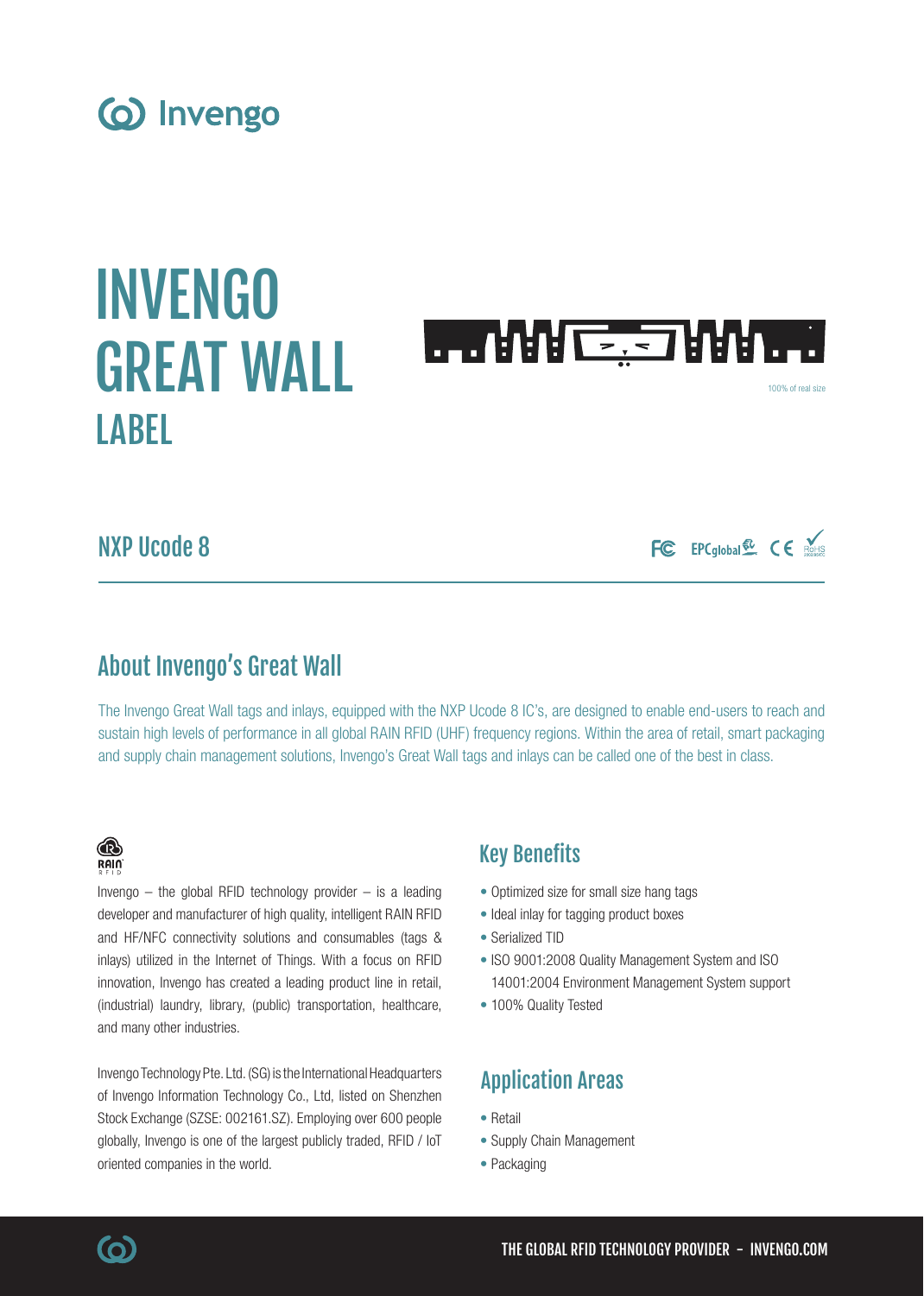# (o) Invengo

# INVENGO GREAT WALL **LAREL**



100% of real size

FC EPCglobal & CE ROHIS

# NXP Ucode 8

# About Invengo's Great Wall

The Invengo Great Wall tags and inlays, equipped with the NXP Ucode 8 IC's, are designed to enable end-users to reach and sustain high levels of performance in all global RAIN RFID (UHF) frequency regions. Within the area of retail, smart packaging and supply chain management solutions, Invengo's Great Wall tags and inlays can be called one of the best in class.

### ® RAIN

Invengo  $-$  the global RFID technology provider  $-$  is a leading developer and manufacturer of high quality, intelligent RAIN RFID and HF/NFC connectivity solutions and consumables (tags & inlays) utilized in the Internet of Things. With a focus on RFID innovation, Invengo has created a leading product line in retail, (industrial) laundry, library, (public) transportation, healthcare, and many other industries.

Invengo Technology Pte. Ltd. (SG) is the International Headquarters of Invengo Information Technology Co., Ltd, listed on Shenzhen Stock Exchange (SZSE: 002161.SZ). Employing over 600 people globally, Invengo is one of the largest publicly traded, RFID / IoT oriented companies in the world.

## Key Benefits

- Optimized size for small size hang tags
- Ideal inlay for tagging product boxes
- Serialized TID
- ISO 9001:2008 Quality Management System and ISO 14001:2004 Environment Management System support
- 100% Quality Tested

# Application Areas

- Retail
- Supply Chain Management
- Packaging